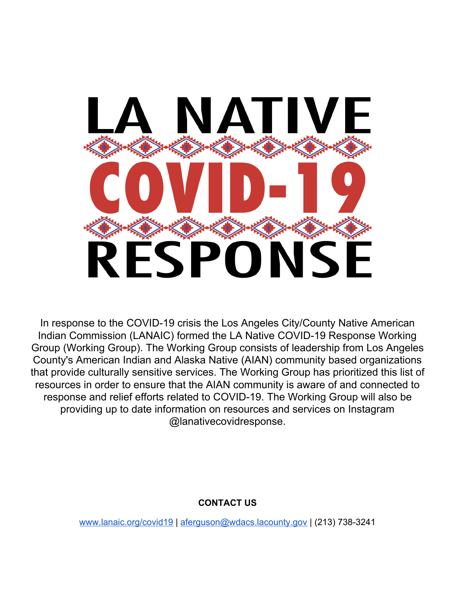

In response to the COVID-19 crisis the Los Angeles City/County Native American Indian Commission (LANAIC) formed the LA Native COVID-19 Response Working Group (Working Group). The Working Group consists of leadership from Los Angeles County's American Indian and Alaska Native (AIAN) community based organizations that provide culturally sensitive services. The Working Group has prioritized this list of resources in order to ensure that the AIAN community is aware of and connected to response and relief efforts related to COVID-19. The Working Group will also be providing up to date information on resources and services on Instagram @lanativecovidresponse.

# **CONTACT US**

[www.lanaic.org/covid19](http://www.lanaic.org/covid19) | [aferguson@wdacs.lacounty.gov](mailto:aferguson@wdacs.lacounty.gov) | (213) 738-3241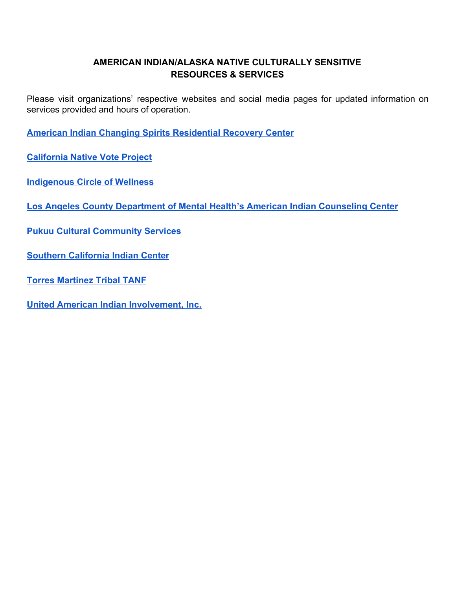## **AMERICAN INDIAN/ALASKA NATIVE CULTURALLY SENSITIVE RESOURCES & SERVICES**

Please visit organizations' respective websites and social media pages for updated information on services provided and hours of operation.

**[American Indian Changing Spirits Residential Recovery Center](http://www.americanindianchangingspirits.org/)**

**[California Native Vote Project](https://canativevote.org/)**

**[Indigenous Circle of Wellness](https://icowellness.com/)**

**[Los Angeles County Department of Mental Health's American Indian Counseling Center](https://locator.lacounty.gov/health/Location/3181175/american-indian-counseling-center)**

**[Pukuu Cultural Community Services](https://www.pukuu.org/)**

**[Southern California Indian Center](http://www.indiancenter.org/)**

**[Torres Martinez Tribal TANF](http://tmtanf.org/)**

**[United American Indian Involvement, Inc.](http://uaii.org/)**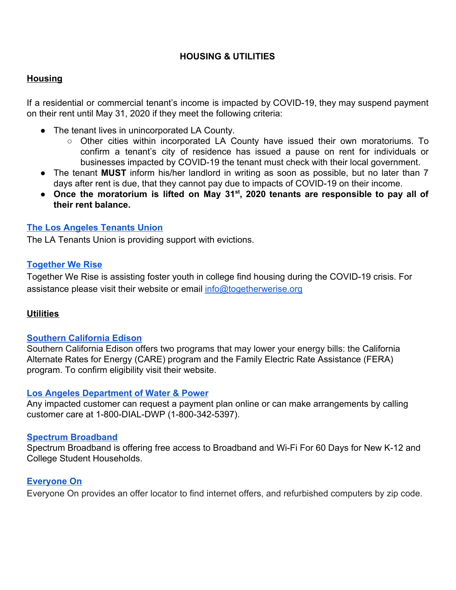## **HOUSING & UTILITIES**

## **Housing**

If a residential or commercial tenant's income is impacted by COVID-19, they may suspend payment on their rent until May 31, 2020 if they meet the following criteria:

- The tenant lives in unincorporated LA County.
	- Other cities within incorporated LA County have issued their own moratoriums. To confirm a tenant's city of residence has issued a pause on rent for individuals or businesses impacted by COVID-19 the tenant must check with their local government.
- The tenant **MUST** inform his/her landlord in writing as soon as possible, but no later than 7 days after rent is due, that they cannot pay due to impacts of COVID-19 on their income.
- **● Once the moratorium is lifted on May 31st , 2020 tenants are responsible to pay all of their rent balance.**

## **[The Los Angeles Tenants Union](https://latenantsunion.org/en/locals/)**

The LA Tenants Union is providing support with evictions.

## **[Together We Rise](https://www.togetherwerise.org/covid-19/)**

Together We Rise is assisting foster youth in college find housing during the COVID-19 crisis. For assistance please visit their website or email info@togetherwerise.org

## **Utilities**

## **[Southern California Edison](https://www.sce.com/apps/iqp?et_cid=IQP+CARE&et_rid=497576714)**

Southern California Edison offers two programs that may lower your energy bills: the California Alternate Rates for Energy (CARE) program and the Family Electric Rate Assistance (FERA) program. To confirm eligibility visit their website.

### **[Los Angeles Department of Water & Power](https://www.ladwp.com/ladwp/faces/ladwp;jsessionid=3BvvpLhKWTVsn1C7L1WzXy0vbwDLR5BLTf2k0s0rqzqlTXmlG4Hy!539590104?_afrLoop=144412628028405&_afrWindowMode=0&_afrWindowId=FSR_FSSETTS_BEGIN_OBJ%7B%22setts%22:%22%7B%5C%22feedback%5C%22:%7B%5C%22instances%5C%22:[%7B%5C%22devices%5C%22:%7B%5C%22overridesEnabled%5C%22:true,%5C%22desktop%5C%22:%7B%5C%22icon%5C%22:%5C%22aspark100.png%5C%22,%5C%22fbtype%5C%22:%5C%22badge%5C%22,%5C%22surveytype%5C%22:%5C%22modal%5C%22,%5C%22fbsize%5C%22:%5C%22small%5C%22,%5C%22fbdirection%5C%22:%5C%22horizontal%5C%22,%5C%22fbcolor%5C%22:%5C%22)**

Any impacted customer can request a payment plan online or can make arrangements by calling customer care at 1-800-DIAL-DWP (1-800-342-5397).

### **[Spectrum Broadband](https://www.spectrum.net/support/internet/covid-19-internet-offer-students)**

Spectrum Broadband is offering free access to Broadband and Wi-Fi For 60 Days for New K-12 and College Student Households.

## **[Everyone On](https://www.everyoneon.org/)**

Everyone On provides an offer locator to find internet offers, and refurbished computers by zip code.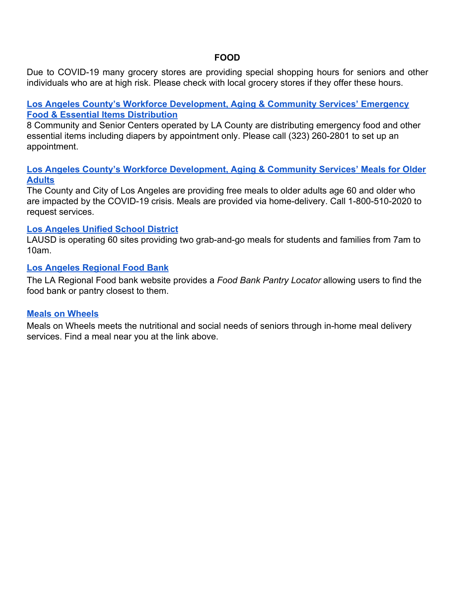### **FOOD**

Due to COVID-19 many grocery stores are providing special shopping hours for seniors and other individuals who are at high risk. Please check with local grocery stores if they offer these hours.

### **[Los Angeles County's Workforce Development, Aging & Community Services' Emergency](https://wdacs.lacounty.gov/) [Food & Essential Items Distribution](https://wdacs.lacounty.gov/)**

8 Community and Senior Centers operated by LA County are distributing emergency food and other essential items including diapers by appointment only. Please call (323) 260-2801 to set up an appointment.

### **[Los Angeles County's Workforce Development, Aging & Community Services' Meals for Older](https://www.google.com/maps/d/viewer?mid=1paBMfsRqsS4r9Px4xiOGYCfxA4-J9y2E&ll=34.029728592186366%2C-118.13568714999201&z=10) [Adults](https://www.google.com/maps/d/viewer?mid=1paBMfsRqsS4r9Px4xiOGYCfxA4-J9y2E&ll=34.029728592186366%2C-118.13568714999201&z=10)**

The County and City of Los Angeles are providing free meals to older adults age 60 and older who are impacted by the COVID-19 crisis. Meals are provided via home-delivery. Call 1-800-510-2020 to request services.

### **[Los Angeles Unified School District](https://achieve.lausd.net/resources)**

LAUSD is operating 60 sites providing two grab-and-go meals for students and families from 7am to 10am.

### **[Los Angeles Regional Food Bank](https://www.lafoodbank.org/find-food/pantry-locator/?gclid=CjwKCAjwgbLzBRBsEiwAXVIygAGLqzNnWGd5q6chFlPhlibiee_BFKq9kUmmflQTIi_2TPADbdEMNhoCQ70QAvD_BwE)**

The LA Regional Food bank website provides a *Food Bank Pantry Locator* allowing users to find the food bank or pantry closest to them.

### **[Meals on Wheels](https://www.mealsonwheelsamerica.org/find-meals)**

Meals on Wheels meets the nutritional and social needs of seniors through in-home meal delivery services. Find a meal near you at the link above.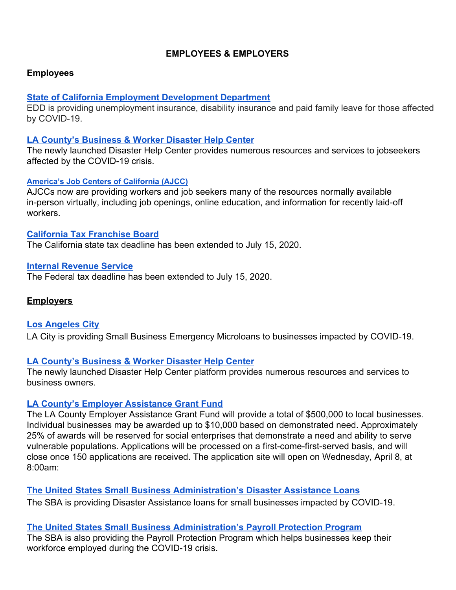## **EMPLOYEES & EMPLOYERS**

### **Employees**

### **[State of California Employment Development Department](https://www.edd.ca.gov/)**

EDD is providing unemployment insurance, disability insurance and paid family leave for those affected by COVID-19.

### **[LA County's Business & Worker Disaster Help Center](https://lacountyhelpcenter.org/?utm_content&utm_medium=email&utm_name&utm_source=govdelivery&utm_term)**

The newly launched Disaster Help Center provides numerous resources and services to jobseekers affected by the COVID-19 crisis.

### **[America's Job Centers of California \(AJCC\)](http://workforce.lacounty.gov/)**

AJCCs now are providing workers and job seekers many of the resources normally available in-person virtually, including job openings, online education, and information for recently laid-off workers.

### **[California Tax Franchise Board](https://www.ftb.ca.gov/about-ftb/newsroom/covid-19/index.html?WT.ac=COVID-19)**

The California state tax deadline has been extended to July 15, 2020.

### **[Internal Revenue Service](https://www.irs.gov/)**

The Federal tax deadline has been extended to July 15, 2020.

### **Employers**

**[Los Angeles City](https://ewddlacity.com/index.php/microloan-program)** LA City is providing Small Business Emergency Microloans to businesses impacted by COVID-19.

### **[LA County's Business & Worker Disaster Help Center](https://lacountyhelpcenter.org/?utm_content&utm_medium=email&utm_name&utm_source=govdelivery&utm_term)**

The newly launched Disaster Help Center platform provides numerous resources and services to business owners.

### **[LA County's Employer Assistance Grant Fund](https://workforce.lacounty.gov/?utm_content&utm_medium=email&utm_name&utm_source=govdelivery&utm_term)**

The LA County Employer Assistance Grant Fund will provide a total of \$500,000 to local businesses. Individual businesses may be awarded up to \$10,000 based on demonstrated need. Approximately 25% of awards will be reserved for social enterprises that demonstrate a need and ability to serve vulnerable populations. Applications will be processed on a first-come-first-served basis, and will close once 150 applications are received. The application site will open on Wednesday, April 8, at 8:00am:

**[The United States Small Business Administration's Disaster Assistance Loans](https://laedc.org/coronavirus/?fbclid=IwAR0TTZDjUWl53O7iftlGKU7BiGsj88MR8sWQ9hrGjSwBisr45TAIhchOj6k)** The SBA is providing Disaster Assistance loans for small businesses impacted by COVID-19.

# **[The United States Small Business Administration's Payroll Protection Program](https://www.sba.gov/funding-programs/loans/coronavirus-relief-options/paycheck-protection-program-ppp)**

The SBA is also providing the Payroll Protection Program which helps businesses keep their workforce employed during the COVID-19 crisis.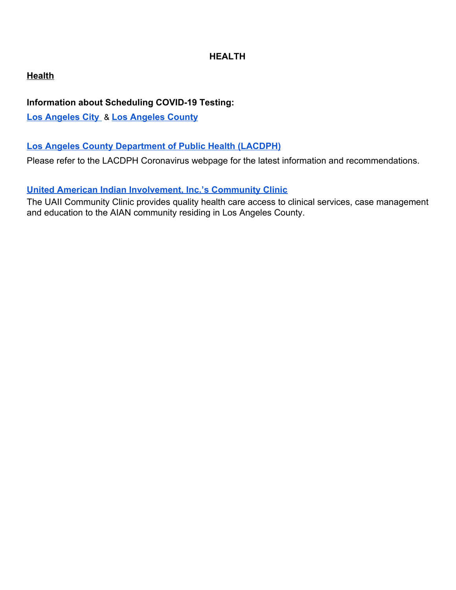# **HEALTH**

# **Health**

# **Information about Scheduling COVID-19 Testing:**

**[Los Angeles City](https://lacovidprod.service-now.com/rrs)** & **[Los Angeles County](https://covid19.lacounty.gov/testing/?utm_content=&utm_medium=email&utm_name=&utm_source=govdelivery&utm_term=)**

# **[Los Angeles County Department of Public Health \(LACDPH\)](http://www.publichealth.lacounty.gov/media/Coronavirus/)**

Please refer to the LACDPH Coronavirus webpage for the latest information and recommendations.

# **[United American Indian Involvement, Inc.'s Community Clinic](http://uaii.org/health-clinic/)**

The UAII Community Clinic provides quality health care access to clinical services, case management and education to the AIAN community residing in Los Angeles County.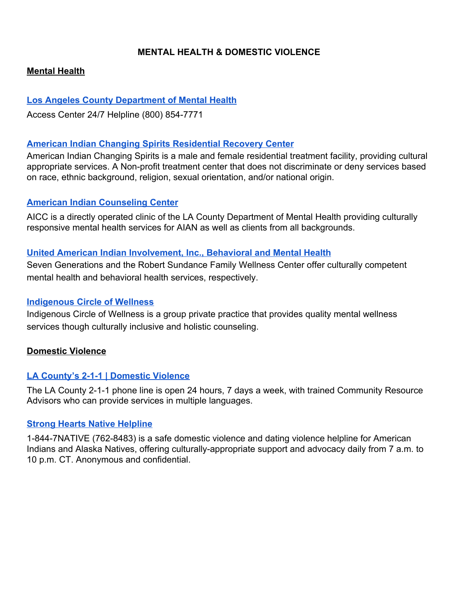## **MENTAL HEALTH & DOMESTIC VIOLENCE**

## **Mental Health**

## **[Los Angeles County Department of Mental Health](https://dmh.lacounty.gov/)**

Access Center 24/7 Helpline (800) 854-7771

## **[American Indian Changing Spirits Residential Recovery Center](http://www.americanindianchangingspirits.org/)**

American Indian Changing Spirits is a male and female residential treatment facility, providing cultural appropriate services. A Non-profit treatment center that does not discriminate or deny services based on race, ethnic background, religion, sexual orientation, and/or national origin.

### **[American Indian Counseling Center](https://locator.lacounty.gov/health/Location/3181175/american-indian-counseling-center)**

AICC is a directly operated clinic of the LA County Department of Mental Health providing culturally responsive mental health services for AIAN as well as clients from all backgrounds.

### **[United American Indian Involvement, Inc., Behavioral and Mental Health](http://uaii.org/behavioral-mental-health/)**

Seven Generations and the Robert Sundance Family Wellness Center offer culturally competent mental health and behavioral health services, respectively.

### **[Indigenous Circle of Wellness](https://icowellness.com/)**

Indigenous Circle of Wellness is a group private practice that provides quality mental wellness services though culturally inclusive and holistic counseling.

### **Domestic Violence**

## **[LA County's 2-1-1 | Domestic Violence](https://www.211la.org/domestic-violence)**

The LA County 2-1-1 phone line is open 24 hours, 7 days a week, with trained Community Resource Advisors who can provide services in multiple languages.

### **[Strong Hearts Native Helpline](https://www.strongheartshelpline.org/)**

[1-844-7NATIVE \(762-8483\) is a safe domestic violence and dating violence helpline for American](https://www.strongheartshelpline.org/) [Indians and Alaska Natives, offering culturally-appropriate support and advocacy daily from 7 a.m. to](https://www.strongheartshelpline.org/) [10 p.m. CT. Anonymous and confidential.](https://www.strongheartshelpline.org/)